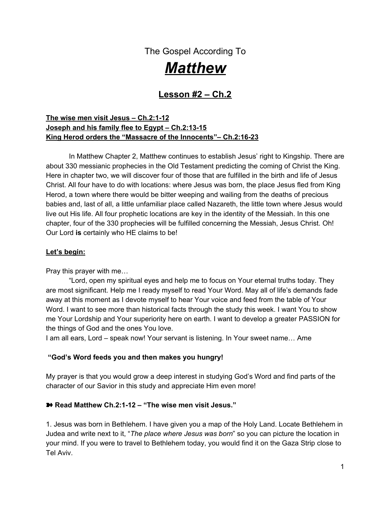The Gospel According To

# *Matthew*

# **Lesson #2 – Ch.2**

# **The wise men visit Jesus – Ch.2:1-12 Joseph and his family flee to Egypt – Ch.2:13-15 King Herod orders the "Massacre of the Innocents"– Ch.2:16-23**

In Matthew Chapter 2, Matthew continues to establish Jesus' right to Kingship. There are about 330 messianic prophecies in the Old Testament predicting the coming of Christ the King. Here in chapter two, we will discover four of those that are fulfilled in the birth and life of Jesus Christ. All four have to do with locations: where Jesus was born, the place Jesus fled from King Herod, a town where there would be bitter weeping and wailing from the deaths of precious babies and, last of all, a little unfamiliar place called Nazareth, the little town where Jesus would live out His life. All four prophetic locations are key in the identity of the Messiah. In this one chapter, four of the 330 prophecies will be fulfilled concerning the Messiah, Jesus Christ. Oh! Our Lord **is** certainly who HE claims to be!

### **Let's begin:**

Pray this prayer with me…

"Lord, open my spiritual eyes and help me to focus on Your eternal truths today. They are most significant. Help me I ready myself to read Your Word. May all of life's demands fade away at this moment as I devote myself to hear Your voice and feed from the table of Your Word. I want to see more than historical facts through the study this week. I want You to show me Your Lordship and Your superiority here on earth. I want to develop a greater PASSION for the things of God and the ones You love.

I am all ears, Lord – speak now! Your servant is listening. In Your sweet name… Ame

#### **"God's Word feeds you and then makes you hungry!**

My prayer is that you would grow a deep interest in studying God's Word and find parts of the character of our Savior in this study and appreciate Him even more!

#### ➽ **Read Matthew Ch.2:1-12 – "The wise men visit Jesus."**

1. Jesus was born in Bethlehem. I have given you a map of the Holy Land. Locate Bethlehem in Judea and write next to it, "*The place where Jesus was born*" so you can picture the location in your mind. If you were to travel to Bethlehem today, you would find it on the Gaza Strip close to Tel Aviv.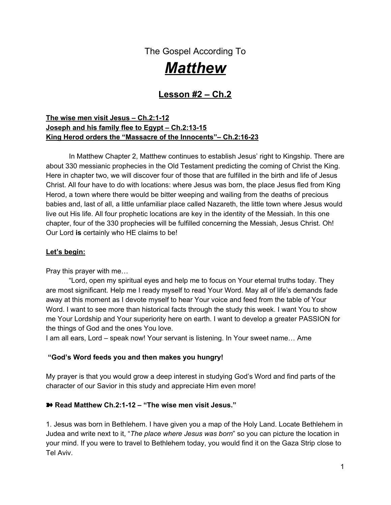2. In that day Judea was still under Roman occupation. Julius Caesar had appointed Antipator as governor of Judea, and then Antipator in turn had his son, Herod, appointed as the "prefect" of Galilee. Herod became known as "Herod the Great" or "King Herod." King Herod was a brutal, tyrannical king. He was a very jealous and suspicious man. He came to love the power that came with his title and would do whatever it took to keep his powerful position. Kings were regarded as divine beings at that time; they were commonly worshipped like gods. Herod would defend his position at any costs. It meant everything to him. As we will discover, the thought of a new king honing in on his territory would push him to extreme measures to defend his kingdom.

*Jealousy* is a wicked taskmaster. It can push people into doing the most perverse things. It can lead us to act out in ways that we don't even recognize as coming from ourselves. Jealousy and envy breed hatred and disunity. The four in unison are a time-bomb waiting to explode and, when they do, emotions explode, spewing shrapnel hitting all those connected to the community of relationship represented. Jealousy is a very powerful emotion.

There is no room for jealousy and envy to remain in a heart that is actively pursuing God. A jealous spirit just stinks up the place, doesn't it? It can push a person to do the unthinkable. Most murders committed have jealousy at the root of the motivation for the crime.

Jealousy can cause even the ordinarily mild-tempered man to act out in ways contrary to his behavior. You might be able to relate if it has happened to you. Cutting words may spew out of your mouth in a tense moment you never could imagine hearing yourself say. People may bother you for no reason, and then, with godly reflection, the Holy Spirit reveals it's a jealous spirit inside you that is causing the issue. You know the problem is not them personally; it's just because they have been blessed with something you have longed for, and not yet gotten. You just hate yourself for being so petty, don't you? Shame rushes in and makes you feel like a selfish child. This cycle can be unbearable until God removes the consuming fire of jealousy and envy out of your heart!

Herod was controlled by jealousy, envy and greed. It eventually drove him to commit many heinous acts. The historian Josephus records Herod as a ruthless murderer. Josephus records that Herod murdered 3 of his sons, along with his mother-in-law and his  $2^{nd}$  wife. If you crossed him or were looked at as suspicious of being disloyal, you paid with your life.

a. Write out the verse found in Proverbs 14:30. Circle the word that you see that denotes the decay of growth.

\_\_\_\_\_\_\_\_\_\_\_\_\_\_\_\_\_\_\_\_\_\_\_\_\_\_\_\_\_\_\_\_\_\_\_\_\_\_\_\_\_\_\_\_\_\_\_\_\_\_\_\_\_\_\_\_\_\_\_\_\_\_\_\_\_\_\_\_\_\_\_\_ \_\_\_\_\_\_\_\_\_\_\_\_\_\_\_\_\_\_\_\_\_\_\_\_\_\_\_\_\_\_\_\_\_\_\_\_\_\_\_\_\_\_\_\_\_\_\_\_\_\_\_\_\_\_\_\_\_\_\_\_\_\_\_\_\_\_\_\_\_\_\_\_

#### ͘ *You cannot grow in the Lord and nurture a jealous spirit simultaneously.*

b. See Song of Solomon 8:6. What other descriptive words are found here to describe jealousy?

\_\_\_\_\_\_\_\_\_\_\_\_\_\_\_\_\_\_\_\_\_\_\_\_\_\_\_\_\_\_\_\_\_\_\_\_\_\_\_\_\_\_\_\_\_\_\_\_\_\_\_\_\_\_\_\_\_\_\_\_\_\_\_\_\_\_\_\_\_\_\_\_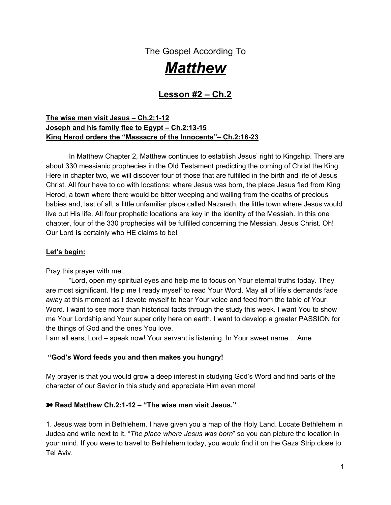c. Jealousy and envy are kissing cousins. They are both listed in the list of "Works of the Flesh" found in Galatians 5:19-21. Scripture is so bold to say that those who habitually live in that sin will not inherit the Kingdom of God. We know that there is only one sin that is unpardonable that is denying Jesus until your death - but a true believer will be convicted of those feelings and come to God to repent and be made clean. He/She will desire to shake free from the carnality and destruction those fleshy attitudes bring. Read through Galatians 5:19-21. What actions do you see coming from King Herod that are mentioned in this list? Did jealousy and envy drive Herod there?

\_\_\_\_\_\_\_\_\_\_\_\_\_\_\_\_\_\_\_\_\_\_\_\_\_\_\_\_\_\_\_\_\_\_\_\_\_\_\_\_\_\_\_\_\_\_\_\_\_\_\_\_\_\_\_\_\_\_\_\_\_\_\_\_\_\_\_\_\_\_\_\_\_\_\_

As another example: What horrific action did Joseph's brothers do that was driven by jealousy? See Gen. 37:11; 20

d. Envy is a sign of a carnal Christian. What other detriment to the church does envy & carnality bring? 1 Corinthians 3:1-3

\_\_\_\_\_\_\_\_\_\_\_\_\_\_\_\_\_\_\_\_\_\_\_\_\_\_\_\_\_\_\_\_\_\_\_\_\_\_\_\_\_\_\_\_\_\_\_\_\_\_\_\_\_\_\_\_\_\_\_\_\_\_\_\_\_\_\_\_\_\_\_\_ \_\_\_\_\_\_\_\_\_\_\_\_\_\_\_\_\_\_\_\_\_\_\_\_\_\_\_\_\_\_\_\_\_\_\_\_\_\_\_\_\_\_\_\_\_\_\_\_\_\_\_\_\_\_\_\_\_\_\_\_\_\_\_\_\_\_\_\_\_\_\_\_

\_\_\_\_\_\_\_\_\_\_\_\_\_\_\_\_\_\_\_\_\_\_\_\_\_\_\_\_\_\_\_\_\_\_\_\_\_\_\_\_\_\_\_\_\_\_\_\_\_\_\_\_\_\_\_\_\_\_\_\_\_\_\_\_\_\_\_\_\_\_\_\_\_\_\_\_ \_\_\_\_\_\_\_\_\_\_\_\_\_\_\_\_\_\_\_\_\_\_\_\_\_\_\_\_\_\_\_\_\_\_\_\_\_\_\_\_\_\_\_\_\_\_\_\_\_\_\_\_\_\_\_\_\_\_\_\_\_\_\_\_\_\_\_\_\_\_\_\_\_\_\_\_

One's flesh is on display when we see gossip, strife, tempers flaring, hatred, bitterness and resentment. These are often exposed, leaving them in plain sight, but there are some fleshy attitudes that we can keep hidden which are just as destructive like jealousy and envy.

There was a season in my life that I went through a period of discontentment because I wasn't happy with where I was living at the time. After some time passed, all I could think about was moving. I wanted to move so badly and God wasn't opening the doors for that to happen. Consequently every one that I compared my life to seemed to have it better than I did. Of course I chose to look at those who owned much more; they were a step up financially and lived in the communities I wished for. I didn't compare myself to those women who lived in those grass huts in Africa! My eyes and heart soon became completely *filled* with envy and jealousy. I was consumed with MYSELF...I knew it...I had witnessed my own reactions internally as someone I knew would get a new home or something nicer than what I thought I had. I would inwardly resent it, although outwardly I would display all the right reactions. I hated that about myself but I didn't know how to change it. I eventually threw my hands up in confession, expressing to God my inability to change myself, and that was the beginning of the work God would do in me.

It took God about two years to convert my soul in that area of contentment. It was a work He had to do and it was long and painful and sometimes repetitive, but He freed me from the cancer of envy and discontentment that wanted to consume my soul. If this is an issue in your life, He can do that for you too. It doesn't have to be about a location or a house; it can be about a marriage you feel stuck in or children you are disappointed with, or a body you desperately wish you could change, or a whole list of other things!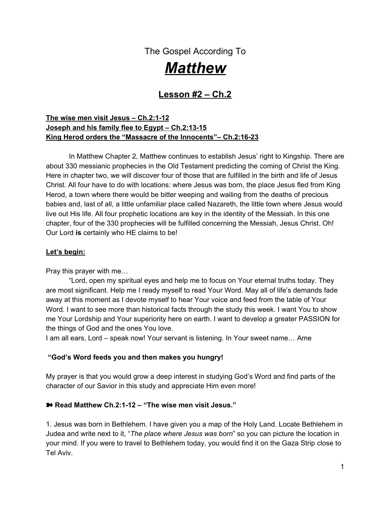The source isn't the issue; it's a discontented heart that God wants to change. I will share with you in the teaching this week some principles and techniques I learned that may help you have victory in this area!

We are now going to meet two other people groups in this story besides King Herod. We will meet the wise men and the chief priests and scribes. Each one has a different *response* to the birth of the King.

2. In Matthew 2:1-2, the wise men (Scripture doesn't say there were three) come from the East to Jerusalem asking others, "Where is the King of the Jews?" They had seen a "star" in the East and wanted to come and worship Him (v.2). The wise men from the East were also known as Magi. Magi were skilled in astronomy and astrology, which in those days were closely related. Some scholars believe there may have been hundreds of wise men following the star. This may be why Herod was so disturbed. Despite their paganism and occult practices, they had genuine hearts that sought the Lord. There had been talk for some time in their region that a new king would soon arise in the area of Judea. They were looking for a new world leader! They were aware of the rumors that the God of Israel would one day raise up a King for Israel.

a. How much information or proof did the Magi have that a King had been born? See Matthew 2:2

I wonder if they were just hangin' out, doing what they always did, looking to the heavens for signs and wonders to follow, and... **boom!** Something very extraordinary catches their eye! This was no common light or star or brilliant planet; this was something they had never seen before! Something cosmic, something beyond what the universe could perform alone. When God does something BIG, something supernatural, you don't have to guess whether it was of God; it's so unordinary, you just know it. Many don't believe it was a "star" at all, or even two stars colliding. One reason is that in Matthew 2:9 it says that the star "stood over" the place where the young child was. It wasn't described as a collision, but a presence. Let's take just a minute and see what other kind of light "stood over" God's people historically.

a. How did God previously use this divine light to protect Israel from the Egyptians? See the story in Exodus 14:13-20, look carefully at v.20.

\_\_\_\_\_\_\_\_\_\_\_\_\_\_\_\_\_\_\_\_\_\_\_\_\_\_\_\_\_\_\_\_\_\_\_\_\_\_\_\_\_\_\_\_\_\_\_\_\_\_\_\_\_\_\_\_\_\_\_\_\_\_\_\_\_\_\_\_\_\_\_\_ \_\_\_\_\_\_\_\_\_\_\_\_\_\_\_\_\_\_\_\_\_\_\_\_\_\_\_\_\_\_\_\_\_\_\_\_\_\_\_\_\_\_\_\_\_\_\_\_\_\_\_\_\_\_\_\_\_\_\_\_\_\_\_\_\_\_\_\_\_\_\_\_

\_\_\_\_\_\_\_\_\_\_\_\_\_\_\_\_\_\_\_\_\_\_\_\_\_\_\_\_\_\_\_\_\_\_\_\_\_\_\_\_\_\_\_\_\_\_\_\_\_\_\_\_\_\_\_\_\_\_\_\_\_\_\_\_\_\_\_\_\_\_\_\_

\_\_\_\_\_\_\_\_\_\_\_\_\_\_\_\_\_\_\_\_\_\_\_\_\_\_\_\_\_\_\_\_\_\_\_\_\_\_\_\_\_\_\_\_\_\_\_\_\_\_\_\_\_\_\_\_\_\_\_\_\_\_\_\_\_\_\_\_\_\_\_\_ \_\_\_\_\_\_\_\_\_\_\_\_\_\_\_\_\_\_\_\_\_\_\_\_\_\_\_\_\_\_\_\_\_\_\_\_\_\_\_\_\_\_\_\_\_\_\_\_\_\_\_\_\_\_\_\_\_\_\_\_\_\_\_\_\_\_\_\_\_\_\_\_

b. How did the brilliance of the light of the Lord change Moses physically? See Exodus 24:17-18 and Exodus 34:30. \_\_\_\_\_\_\_\_\_\_\_\_\_\_\_\_\_\_\_\_\_\_\_\_\_\_\_\_\_\_\_\_\_\_\_\_\_\_\_\_\_\_\_\_\_\_\_\_\_\_\_\_\_\_\_\_

c. How did Paul respond to the "light from heaven"? Acts 9:3 and Acts 26:13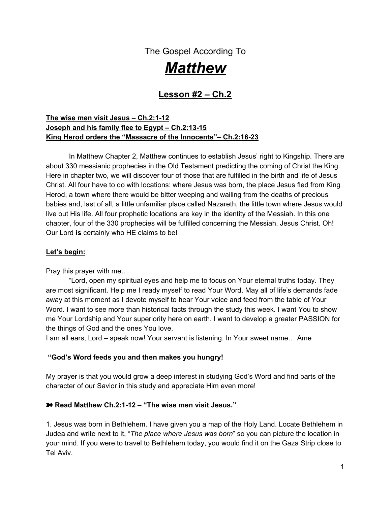d. What does Jesus call Himself in Revelation 22:16?

Maybe the light the Magi saw coming from heaven wasn't a star at all, maybe it was the "light of the glory of the Lord," like we have seen so many times before in Scripture. No one can say for sure, but it was enough to get those Magi to *move it* and follow its brilliance to its destination! Remember Daniel, God's man favored in the lion's den? He was from the countries in the East. Maybe they had heard just enough from believers like Daniel to be seekers. They had just enough knowledge to know that there was a King under that supernatural light somewhere, and they responded to the little knowledge they had to seek a Savior they didn't know.

\_\_\_\_\_\_\_\_\_\_\_\_\_\_\_\_\_\_\_\_\_\_\_\_\_\_\_\_\_\_\_\_\_\_\_\_\_\_\_\_\_\_\_\_\_\_\_\_\_\_\_\_\_\_\_\_\_\_\_\_\_\_\_\_\_\_\_\_\_\_

Some of us have more knowledge of His truth than others. Many of you have been blessed with a rich Christian heritage, taught God's values since the time you were a wee little one! Others have come out of religious cults full of false doctrine and are still sorting out truth from error. Still others had no religious training at all. Wherever you find yourself on the scale, we are all responsible for what we know!

3. What does Jesus tell us is required of him or her that is given much? Luke 12:48? \_\_\_\_\_\_\_\_\_\_\_\_\_\_\_\_\_\_\_\_\_\_\_\_\_\_\_\_\_\_\_\_\_\_\_\_\_\_\_\_\_\_\_\_\_\_\_\_\_\_\_\_\_\_\_\_\_\_\_\_\_\_\_\_\_\_\_

\_\_\_\_\_\_\_\_\_\_\_\_\_\_\_\_\_\_\_\_\_\_\_\_\_\_\_\_\_\_\_\_\_\_\_\_\_\_\_\_\_\_\_\_\_\_\_\_\_\_\_\_\_\_\_\_\_\_\_\_\_\_\_\_\_\_\_

#### *The CEV version says it like this:*

# *"If God has been generous with you, He will expect you to serve Him well. But if He has been more than generous, He will expect you to serve Him even better." Luke 12:48*

Do you have a bible or two or three in your home? How about access to Christian T.V. and radio? I KNOW you have access to this Bible Study and go to good churches that teach God's Word every Sunday. I also know you have the freedom to worship God anywhere and at any time if you live in the good ol' USA! To those whom God gives special knowledge and special opportunities must also realize they have greater responsibilities. You and I fall under that category. If Christian leaders have received power from God and from men, they are accountable for that power.

a. Do you feel the Lord requiring more of you these days? Is He asking you to serve Him even with your busy schedule, and you're already tired? Is He drawing you into more time in study and prayer? Do you feel Him prompting you to be more consistent with your giving? In what way is He requiring much from your life? Share with your group.

\_\_\_\_\_\_\_\_\_\_\_\_\_\_\_\_\_\_\_\_\_\_\_\_\_\_\_\_\_\_\_\_\_\_\_\_\_\_\_\_\_\_\_\_\_\_\_\_\_\_\_\_\_\_\_\_\_\_\_\_\_\_\_\_\_\_\_\_\_\_\_\_\_\_\_\_ \_\_\_\_\_\_\_\_\_\_\_\_\_\_\_\_\_\_\_\_\_\_\_\_\_\_\_\_\_\_\_\_\_\_\_\_\_\_\_\_\_\_\_\_\_\_\_\_\_\_\_\_\_\_\_\_\_\_\_\_\_\_\_\_\_\_\_\_\_\_\_\_\_\_\_\_ \_\_\_\_\_\_\_\_\_\_\_\_\_\_\_\_\_\_\_\_\_\_\_\_\_\_\_\_\_\_\_\_\_\_\_\_\_\_\_\_\_\_\_\_\_\_\_\_\_\_\_\_\_\_\_\_\_\_\_\_\_\_\_\_\_\_\_\_\_\_\_\_\_\_\_\_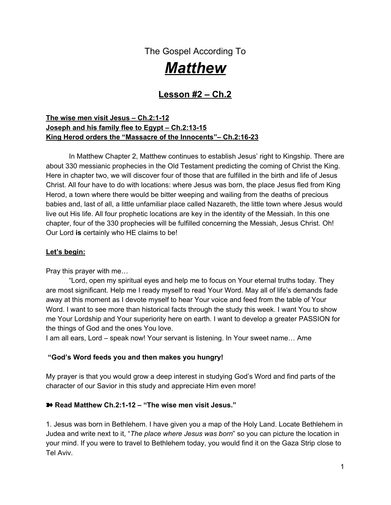When we live out there on the edge where God is calling us to come, we see the hand of God move in our lives and the lives God touches through our small acts of obedience, and our walks with God catch on fire with enthusiasm for the things of God.

# ͘ *Charles Wesley said, "Catch on fire with enthusiasm and people will come from miles to watch you burn."*

b. What hinders you from going deeper with God?

c. Why does the truth of God become hindered in our lives at times? Hebrews 4:2

\_\_\_\_\_\_\_\_\_\_\_\_\_\_\_\_\_\_\_\_\_\_\_\_\_\_\_\_\_\_\_\_\_\_\_\_\_\_\_\_\_\_\_\_\_\_\_\_\_\_\_\_\_\_\_\_\_\_\_\_\_\_\_\_\_\_\_\_\_\_

\_\_\_\_\_\_\_\_\_\_\_\_\_\_\_\_\_\_\_\_\_\_\_\_\_\_\_\_\_\_\_\_\_\_\_\_\_\_\_\_\_\_\_\_\_\_\_\_\_\_\_\_\_\_\_\_\_\_\_\_\_\_\_\_\_\_\_\_\_\_\_ \_\_\_\_\_\_\_\_\_\_\_\_\_\_\_\_\_\_\_\_\_\_\_\_\_\_\_\_\_\_\_\_\_\_\_\_\_\_\_\_\_\_\_\_\_\_\_\_\_\_\_\_\_\_\_\_\_\_\_\_\_\_\_\_\_\_\_\_\_\_\_

According to Matthew 2:2, the Magi ACTED UPON the little knowledge that they had: a light or star that they had seen while gazing in the heavens, and a few obscure rumors from believers that, according to the laws of Moses, there would one day come a King to the people of Israel. This was enough to cause them to leave their own country and all that was comfortable and familiar to seek the Savior!

Now, King Herod had a much different response to the news that "The King of the Jews" had arrived somewhere on planet earth.

\_\_\_\_\_\_\_\_\_\_\_\_\_\_\_\_\_\_\_\_\_\_\_\_\_\_\_\_\_\_\_\_\_\_\_\_\_\_\_\_\_\_\_\_\_\_\_\_\_\_\_\_\_\_\_\_\_\_\_\_\_\_\_\_\_\_\_\_\_\_\_\_

\_\_\_\_\_\_\_\_\_\_\_\_\_\_\_\_\_\_\_\_\_\_\_\_\_\_\_\_\_\_\_\_\_\_\_\_\_\_\_\_\_\_\_\_\_\_\_\_\_\_\_\_\_\_\_\_\_\_\_\_\_\_\_\_\_\_\_\_\_\_\_\_

4. What was King Herod's response according to Matthew 2:3?

5. Who else was troubled with him? V.3

6. Why do you think King Herod was so disturbed by this news? See hint is v.13

Herod was a hostile man prone to jealousy. Accepting Jesus' lordship might mean losing power and position to this power-driven king. Herod was a man who liked to do what he liked to do. He wanted no authority over his life but his own. He viewed Christ as one who would interfere with his life, and he was quite happy with how things were when he had full control, thank you very much!

This can be the exact same response people have today as they are presented with the gospel of Christ. They view Jesus as one who would interfere with their lifestyle choices, their desires, with their finances, etc. They think that living for Christ would mean giving Him all their money, giving up all the things they like to drink, sentenced to never having a good time, and living a life of boredom. They like their lives just the way they are, thank you very much, even though most of them are starved for peace, desperate for real love and acceptance, and they go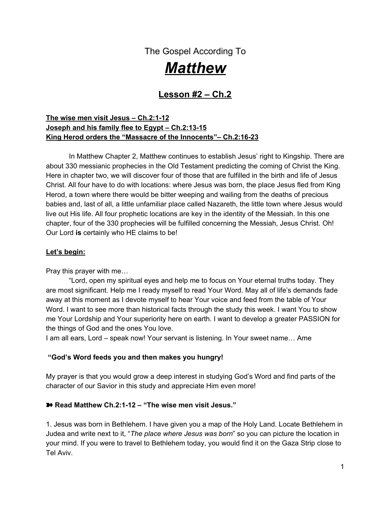to bed every night wondering if this is all there is to this life. They still would rather believe they are in control and hold to that control. They are blind to the fact that they are dying in their sins, in desperate need of a Savior, unforgiven, and will stand accountable to a holy God one day! Peace and freedom lie alone in Jesus.

This is not only the response of the *unbeliever*; it can be *our response as believers* as Christ calls us into a deeper relationship with Him. When God calls us to let go of a desire or a dream, or calls us to go deeper with Him, we may resist and hold on white-knuckled with everything we've got, hoping we will be able to outlast God. We wrestle and roll around on the carpet of faith with our Savior believing that the thing He has called us to let go of is better for us than what He has purposed and destined around the next corner, if we would just surrender that thing to Him.

I'll admit I've wrestled; I've wrestled hard at times, with everything I've had! I've wrestled for months and months until finally in my spiritually/ emotionally/ and even physically weakened state, I gave up. I cried "uncle" to almighty God, and He instantly lifted me up in His arms of assurance and flooded my soul with peace! Oh, how I love that peace - that unmistakable peace that comes with full surrender. Freedom. I love it…love it…love it!

# ͘ *There is no limit to what God can do through one life that is totally surrendered to Him! Peace lies in surrender, and in living this way, you will find your heart to remain quite calm!*

King Herod set himself against Christ, God's anointed. Now Herod understood that Jesus was the Christ because he called Him that there in v.4. It is not a good thing to set yourself in opposition to a holy God like King Herod did.

## **Those who set themselves against God are doomed.**

# **One of my favorite quotes - "If you can't be a good example, then you'll be a "horrible warning"!**

"Oh Lord! Please help me be a light for you!" "Make my life a good representation of who you are!"

7. Who does the prophet warn in Isaiah 30:1-5 and what are they in the habit of doing? Where do they put their trust?

\_\_\_\_\_\_\_\_\_\_\_\_\_\_\_\_\_\_\_\_\_\_\_\_\_\_\_\_\_\_\_\_\_\_\_\_\_\_\_\_\_\_\_\_\_\_\_\_\_\_\_\_\_\_\_\_\_\_\_\_\_\_\_\_\_\_\_\_\_\_\_\_\_\_\_ \_\_\_\_\_\_\_\_\_\_\_\_\_\_\_\_\_\_\_\_\_\_\_\_\_\_\_\_\_\_\_\_\_\_\_\_\_\_\_\_\_\_\_\_\_\_\_\_\_\_\_\_\_\_\_\_\_\_\_\_\_\_\_\_\_\_\_\_\_\_\_\_\_\_\_ \_\_\_\_\_\_\_\_\_\_\_\_\_\_\_\_\_\_\_\_\_\_\_\_\_\_\_\_\_\_\_\_\_\_\_\_\_\_\_\_\_\_\_\_\_\_\_\_\_\_\_\_\_\_\_\_\_\_\_\_\_\_\_\_\_\_\_\_\_\_\_\_\_\_\_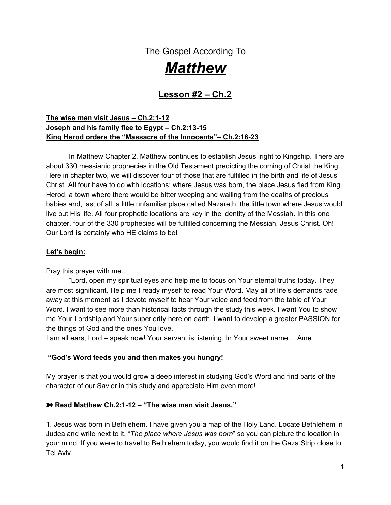8. God didn't mess around with Israel's disobedience to Him. According to God, the people of Israel were a stiff-necked people group. What did he warn them of in Leviticus 26:27-28?

9. Herod was a man who walked according to his own fleshly desires. He did whatever pleased him at the moment. How does Paul describe the life that is all about pleasing self and not pleasing God in Romans 8:4-8?

\_\_\_\_\_\_\_\_\_\_\_\_\_\_\_\_\_\_\_\_\_\_\_\_\_\_\_\_\_\_\_\_\_\_\_\_\_\_\_\_\_\_\_\_\_\_\_\_\_\_\_\_\_\_\_\_\_\_\_\_\_\_\_\_\_\_\_\_\_\_\_\_\_\_\_\_ \_\_\_\_\_\_\_\_\_\_\_\_\_\_\_\_\_\_\_\_\_\_\_\_\_\_\_\_\_\_\_\_\_\_\_\_\_\_\_\_\_\_\_\_\_\_\_\_\_\_\_\_\_\_\_\_\_\_\_\_\_\_\_\_\_\_\_\_\_\_\_\_\_\_\_\_ \_\_\_\_\_\_\_\_\_\_\_\_\_\_\_\_\_\_\_\_\_\_\_\_\_\_\_\_\_\_\_\_\_\_\_\_\_\_\_\_\_\_\_\_\_\_\_\_\_\_\_\_\_\_\_\_\_\_\_\_\_\_\_\_\_\_\_\_\_\_\_\_\_\_\_\_

\_\_\_\_\_\_\_\_\_\_\_\_\_\_\_\_\_\_\_\_\_\_\_\_\_\_\_\_\_\_\_\_\_\_\_\_\_\_\_\_\_\_\_\_\_\_\_\_\_\_\_\_\_\_\_\_\_\_\_\_\_\_\_\_\_\_\_\_\_\_\_\_\_\_\_\_ \_\_\_\_\_\_\_\_\_\_\_\_\_\_\_\_\_\_\_\_\_\_\_\_\_\_\_\_\_\_\_\_\_\_\_\_\_\_\_\_\_\_\_\_\_\_\_\_\_\_\_\_\_\_\_\_\_\_\_\_\_\_\_\_\_\_\_\_\_\_\_\_\_\_\_\_

10. Who did the King summon together to get information about where the Christ was to be born in Matthew 2:4? **Example 2:49** 

The Chief Priests and Scribes were the ones most familiar with the law. It was their job to be familiar with Old Testament prophecy and the laws of Moses, so King Herod summons them in front of him and demands to know *where,* according to the Scriptures, Jesus is to be born.

In Matthew 2:5-6 we come to the response of the coming Messiah from the Scribes and Chief Priests.

11. In reading v.5, how can we determine that the Scribes and Chief Priests knew God's Word?

\_\_\_\_\_\_\_\_\_\_\_\_\_\_\_\_\_\_\_\_\_\_\_\_\_\_\_\_\_\_\_\_\_\_\_\_\_\_\_\_\_\_\_\_\_\_\_\_\_\_\_\_\_\_\_\_\_\_\_\_\_\_\_\_\_\_

They were quoting prophecy spoken from the prophet Micah in Micah 5:2. This is the first "location prophecy" that Jesus would fulfill through the place of his birth, Bethlehem (read Micah 5:2).

12. As far as you can determine through Scripture, did the Chief Priests and Scribes ever try to find the Christ child, even though they believed what Scripture foretold to be true?

\_\_\_\_\_\_\_\_\_\_\_\_\_\_\_\_\_\_\_\_\_\_\_\_\_\_\_\_\_\_\_\_\_\_\_\_\_\_\_\_\_\_\_\_\_\_\_\_\_\_\_\_\_\_\_\_\_\_\_\_\_\_\_\_\_\_\_\_\_\_

The religious leaders were indifferent to the coming of the Messiah. Maybe they were engrossed with the goings on in the temple. Undoubtedly they had much work to do keeping the temple clean and setting up sacrifices to God. Much of their time was spent in discussing doctrine and defending legalism. They only had an *academic interest* in God; otherwise, they would have joined the Magi with an all-out passion and enthusiasm as they raced to find where their King had been born! They were religious bigots, sinful men trying to impress God with their works. They had a type of faith, but it was only head knowledge and not a heart of passion to be like Christ…to think like Christ thinks…to be about what He is about. There is such a difference!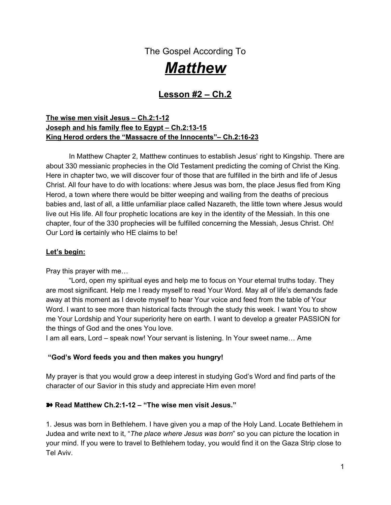Sad to say, many of our congregations are full of believers like the Chief Priests and Scribes. They spend a great portion their time doing religious rituals. They may have an academic interest in Jesus, but that's all. They are missing out on the personal relationship with the Savior, which is the whole point!

#### **Pray this prayer with me today:**

"Oh Lord, if my fire for the lost has grown cold…if I don't seek You any longer in my day with tenacity and fervor…if I've quit looking for you in the smallest details life…if I take every good thing in my life for granted and beyond that, complain that I don't have enough…forgive me, Lord, and set my eyes back on My Savior. Light a fire in my heart for the things of God, eternal things that matter and help me turn away from the religious, pious actions that I think make me right with You, or more esteemed in the eyes of others. I want to be a real Christian, Lord; not someone that acts like they care, but someone who *really* cares. I want to be burdened with those that I know are lost, condemned to hell, burdened enough that I *ache* for them when I see them in their sin. Help me to care for the "dead men/women walking". Give me a passion that flows from the heart of Jesus for the welfare of others."

Whew! That always feels good, to confess my staleness or lack of zeal for Christ and ask Him to fill me anew! I know He will, for me and for you! Now…let's go on!

#### ➽ **Return to Matthew 2:7-8.**

Herod wants to know WHEN Christ the King is coming. He says it's because he wants to join the Magi and worship the new King, but we know by reading Scripture that he wanted Christ destroyed and needed to find out when He would arrive in the region in order to do something about it.

14. When the wise men saw that star once again, they must have been so relieved. I'm sure it was a sign of confirmation that they didn't leave their homes and all they loved for nothing. They must have had doubts as time had passed, and maybe they even questioned Herod's loyalty at this point. Seeing the star, God was confirming that they were doing the right thing! When they saw the great light (glory of the Lord or light of Christ) what was their reaction (v.10-11)?

Their gifts were an expression of their worship, given out of their hearts filled with adoration, appreciation and gratefulness.

\_\_\_\_\_\_\_\_\_\_\_\_\_\_\_\_\_\_\_\_\_\_\_\_\_\_\_\_\_\_\_\_\_\_\_\_\_\_\_\_\_\_\_\_\_\_\_\_\_\_\_\_\_\_\_\_\_\_\_\_\_\_\_\_\_\_\_\_\_\_ \_\_\_\_\_\_\_\_\_\_\_\_\_\_\_\_\_\_\_\_\_\_\_\_\_\_\_\_\_\_\_\_\_\_\_\_\_\_\_\_\_\_\_\_\_\_\_\_\_\_\_\_\_\_\_\_\_\_\_\_\_\_\_\_\_\_\_\_\_\_\_ \_\_\_\_\_\_\_\_\_\_\_\_\_\_\_\_\_\_\_\_\_\_\_\_\_\_\_\_\_\_\_\_\_\_\_\_\_\_\_\_\_\_\_\_\_\_\_\_\_\_\_\_\_\_\_\_\_\_\_\_\_\_\_\_\_\_\_\_\_\_\_

#### ͘ *Giving apart from gratefulness is empty giving.*

These wise men opened their "treasures" to God and gave graciously to Him.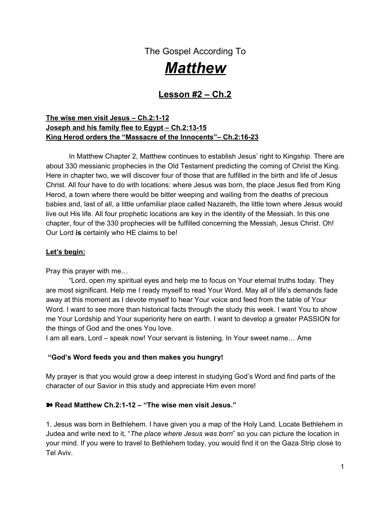True worship always costs you something. It may mean giving of your paycheck so you can worship God with the giving of your finances. It may mean being rejected from certain family members because they see you as one of those "goodie" Christians that is totally out of touch. It may mean not being accepted in that inner circle of work associates because they know you serve God. We give sacrificially in different ways, but God always, always blesses us with tenfold in return!

When we come to Christ, we make Christ the "head of the firm" and we become His steward, and we are no longer the head of the firm. I distribute my wealth only as a trustee, which makes it no sacrifice at all, remembering it really isn't mine. He just trusts me to do right by Him. He gives all of us "treasures" to distribute to make the life of others better.

15. The wise men were full of the joy of the Lord as they came into the presence of the Savior. Where can we find true joy and contentment? See Psalm 16:11. Write it here.

\_\_\_\_\_\_\_\_\_\_\_\_\_\_\_\_\_\_\_\_\_\_\_\_\_\_\_\_\_\_\_\_\_\_\_\_\_\_\_\_\_\_\_\_\_\_\_\_\_\_\_\_\_\_\_\_\_\_\_\_\_\_\_\_\_\_\_\_\_ \_\_\_\_\_\_\_\_\_\_\_\_\_\_\_\_\_\_\_\_\_\_\_\_\_\_\_\_\_\_\_\_\_\_\_\_\_\_\_\_\_\_\_\_\_\_\_\_\_\_\_\_\_\_\_\_\_\_\_\_\_\_\_\_\_\_\_\_\_

\_\_\_\_\_\_\_\_\_\_\_\_\_\_\_\_\_\_\_\_\_\_\_\_\_\_\_\_\_\_\_\_\_\_\_\_\_\_\_\_\_\_\_\_\_\_\_\_\_\_\_\_\_\_\_\_\_\_\_\_\_\_\_\_\_\_\_\_\_\_

\_\_\_\_\_\_\_\_\_\_\_\_\_\_\_\_\_\_\_\_\_\_\_\_\_\_\_\_\_\_\_\_\_\_\_\_\_\_\_\_\_\_\_\_\_\_\_\_\_\_\_\_\_\_\_\_\_\_\_\_\_\_\_\_\_\_\_\_\_\_

\_\_\_\_\_\_\_\_\_\_\_\_\_\_\_\_\_\_\_\_\_\_\_\_\_\_\_\_\_\_\_\_\_\_\_\_\_\_\_\_\_\_\_\_\_\_\_\_\_\_\_\_\_\_\_\_\_\_\_\_\_\_\_\_\_\_\_\_\_\_\_

\_\_\_\_\_\_\_\_\_\_\_\_\_\_\_\_\_\_\_\_\_\_\_\_\_\_\_\_\_\_\_\_\_\_\_\_\_\_\_\_\_\_\_\_\_\_\_\_\_\_\_\_\_\_\_\_\_\_\_\_\_\_\_\_\_\_\_\_\_\_

As we continue with our story in Matthew Ch.2, we see God giving his people divine warnings.

16. How did God warn the wise men and what was the warning? V.12

What was God sheltering them from?

17. What was the first divine warning given to Joseph in verse 13?

How can you see God's protection revealed? \_\_\_\_\_\_\_\_\_\_\_\_\_\_\_\_\_\_\_\_\_\_\_\_\_\_\_\_\_\_\_\_\_\_\_\_

18. What was the second warning to Joseph in verses 21-23??

19. In v.15, we come to the second "location prophecy" in this chapter of Matthew. You can see it spoken of here. Read the prophecy written long ago by the prophet Hosea in Hosea 11:1.

An angel of the Lord spoke to Joseph and told him to take the Christ child to Egypt. Prophecy was again fulfilled that was predicted hundreds of years before.

In v.16 we come to the unleashing of King Herod's burning jealousy for the right to the throne. Herod wasn't a Jew; he was an Edomite, and he knew he had no legal right to be the King of the Jews. He even married a Jew at one point to try and rally the Jew's allegiance. Well,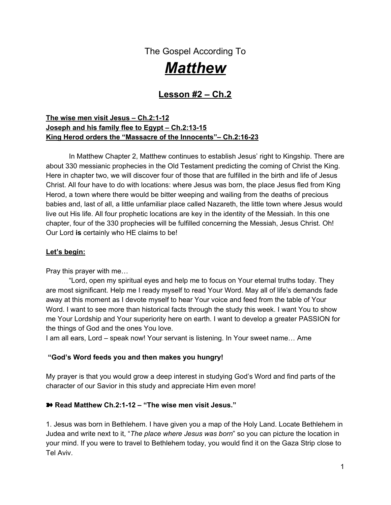now is the announcement of one born King of the Jews! He was so threatened by this that he committed some unthinkable acts in an effort to protect his title and secure his power.

His decision comes in verse 16. He sends a command to his leaders to murder EVERY child under two years of age! His thought was, "If I can't be certain who and where the Christ is, I'll just kill them all and that should take care of the problem." He had no regard for human life. The root of jealousy had graduated into a cancer consuming human reason and anything decent. He only cared about himself and didn't mind slaughtering hundreds of innocent babies to be insured that his power would remain.

Think of the men who were committed to that task! What an awful commission to be placed upon your life! There is no way one can do something like that and not be changed forever. King Herod was too cowardly to be apart of that himself; he sent forth a decree and had it done for him.

20. This brings us to our third "location prophecy" in this chapter. We find it in v.18. Write it in the blanks below. See it predicted to happen in Jeremiah 31:15.

\_\_\_\_\_\_\_\_\_\_\_\_\_\_\_\_\_\_\_\_\_\_\_\_\_\_\_\_\_\_\_\_\_\_\_\_\_\_\_\_\_\_\_\_\_\_\_\_\_\_\_\_\_\_\_\_\_\_\_\_\_\_\_\_\_\_\_\_\_\_\_\_ \_\_\_\_\_\_\_\_\_\_\_\_\_\_\_\_\_\_\_\_\_\_\_\_\_\_\_\_\_\_\_\_\_\_\_\_\_\_\_\_\_\_\_\_\_\_\_\_\_\_\_\_\_\_\_\_\_\_\_\_\_\_\_\_\_\_\_\_\_\_\_\_ \_\_\_\_\_\_\_\_\_\_\_\_\_\_\_\_\_\_\_\_\_\_\_\_\_\_\_\_\_\_\_\_\_\_\_\_\_\_\_\_\_\_\_\_\_\_\_\_\_\_\_\_\_\_\_\_\_\_\_\_\_\_\_\_\_\_\_\_\_\_\_\_ \_\_\_\_\_\_\_\_\_\_\_\_\_\_\_\_\_\_\_\_\_\_\_\_\_\_\_\_\_\_\_\_\_\_\_\_\_\_\_\_\_\_\_\_\_\_\_\_\_\_\_\_\_\_\_\_\_\_\_\_\_\_\_\_\_\_\_\_\_\_\_\_

There was so much weeping and outcry from mothers whose children were pulled from their arms and slaughtered right before their eyes that I imagine you could hear the chaos, wailing, and holocaust for miles around that city. The women refused to be comforted because they knew the killings were unnecessary, cruel, and senseless. These were hundreds of murders of defenseless babies done by the hand of a mad man.

God has been so diligent to lead Joseph and his family all this time and to keep them out of harm's way. Let's look at the rest of this chapter to find the fourth "location prophecy" and to see how God protects this little family as they follow His leading.

21. Read Matthew 2:19-23. After all the traveling, where did Joseph, Mary and Jesus end up (v. 22b, 23)?

Matthew here is using the word "Nazarene" as a synonym for one rejected by men. Nothing good was ever known to come out of Nazareth. This would be the fourth prophecy fulfilled in the second chapter of Matthew.

\_\_\_\_\_\_\_\_\_\_\_\_\_\_\_\_\_\_\_\_\_\_\_\_\_\_\_\_\_\_\_\_\_\_\_\_\_\_\_\_\_\_\_\_\_\_\_\_\_\_\_\_\_\_\_\_\_\_\_\_\_\_\_\_\_\_\_\_\_\_\_

What an amazing story about the leading of the Lord for those who seek Him diligently! God's plan for the Savior was fulfilled at every turn; even when men opposed those plans, God's ways were performed! Oh,He is so powerful! No man can get in the way of what God has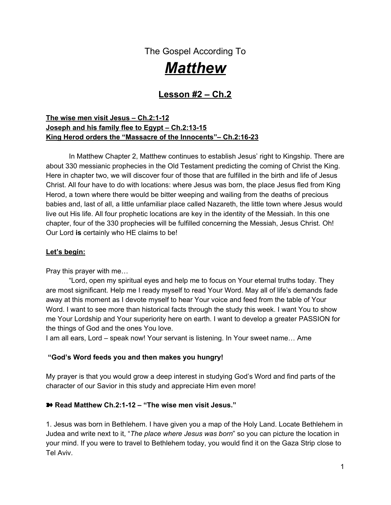ordained to be! Even if we try to follow God and our plan doesn't exactly match up with His, God will get you to where He ordains you to be. He will get you there dear one.

Our all-knowing God knew from the beginning about King Herod's plans to kill the Christ. Wouldn't Satan have loved that? Satan would have loved to snuff out the very One who was sent to save sinners. He would have loved to defeat Christ in infancy before He could get to the cross and make a way for all to be redeemed!

Joseph and Mary had only a small glimpse of God's plan through this child. They knew He was different, but they couldn't have known what Jesus would mean to a whole human race and the spiritual battle that was going on right in their midst. They were just two people involved in a HUGE plan orchestrated by God, and their part was to just follow His leading daily. Inquire of the Lord, believe Him at His Word, and do what he said to do!

22. God's guidance comes as we seek it. What do you need answers for today? Are there several directions you can take and you need God to turn you as in the way you should go? Take time here to write your thoughts before God. Cry out for His divine protection in making a decision that could unknowingly cause you harm, or future difficulty. Ask Him to speak to you through His Spirit, through counsel etc. Share with your group for prayer, if possible.

\_\_\_\_\_\_\_\_\_\_\_\_\_\_\_\_\_\_\_\_\_\_\_\_\_\_\_\_\_\_\_\_\_\_\_\_\_\_\_\_\_\_\_\_\_\_\_\_\_\_\_\_\_\_\_\_\_\_\_\_\_\_\_\_\_\_\_\_\_\_\_\_\_\_\_\_ \_\_\_\_\_\_\_\_\_\_\_\_\_\_\_\_\_\_\_\_\_\_\_\_\_\_\_\_\_\_\_\_\_\_\_\_\_\_\_\_\_\_\_\_\_\_\_\_\_\_\_\_\_\_\_\_\_\_\_\_\_\_\_\_\_\_\_\_\_\_\_\_\_\_\_\_ \_\_\_\_\_\_\_\_\_\_\_\_\_\_\_\_\_\_\_\_\_\_\_\_\_\_\_\_\_\_\_\_\_\_\_\_\_\_\_\_\_\_\_\_\_\_\_\_\_\_\_\_\_\_\_\_\_\_\_\_\_\_\_\_\_\_\_\_\_\_\_\_\_\_\_\_ \_\_\_\_\_\_\_\_\_\_\_\_\_\_\_\_\_\_\_\_\_\_\_\_\_\_\_\_\_\_\_\_\_\_\_\_\_\_\_\_\_\_\_\_\_\_\_\_\_\_\_\_\_\_\_\_\_\_\_\_\_\_\_\_\_\_\_\_\_\_\_\_\_\_\_\_

\_\_\_\_\_\_\_\_\_\_\_\_\_\_\_\_\_\_\_\_\_\_\_\_\_\_\_\_\_\_\_\_\_\_\_\_\_\_\_\_\_\_\_\_\_\_\_\_\_\_\_\_\_\_\_\_\_\_\_\_\_\_\_\_\_\_\_\_\_\_\_\_\_\_\_\_ \_\_\_\_\_\_\_\_\_\_\_\_\_\_\_\_\_\_\_\_\_\_\_\_\_\_\_\_\_\_\_\_\_\_\_\_\_\_\_\_\_\_\_\_\_\_\_\_\_\_\_\_\_\_\_\_\_\_\_\_\_\_\_\_\_\_\_\_\_\_\_\_\_\_\_\_ \_\_\_\_\_\_\_\_\_\_\_\_\_\_\_\_\_\_\_\_\_\_\_\_\_\_\_\_\_\_\_\_\_\_\_\_\_\_\_\_\_\_\_\_\_\_\_\_\_\_\_\_\_\_\_\_\_\_\_\_\_\_\_\_\_\_\_\_\_\_\_\_\_\_\_\_ \_\_\_\_\_\_\_\_\_\_\_\_\_\_\_\_\_\_\_\_\_\_\_\_\_\_\_\_\_\_\_\_\_\_\_\_\_\_\_\_\_\_\_\_\_\_\_\_\_\_\_\_\_\_\_\_\_\_\_\_\_\_\_\_\_\_\_\_\_\_\_\_\_\_\_\_ \_\_\_\_\_\_\_\_\_\_\_\_\_\_\_\_\_\_\_\_\_\_\_\_\_\_\_\_\_\_\_\_\_\_\_\_\_\_\_\_\_\_\_\_\_\_\_\_\_\_\_\_\_\_\_\_\_\_\_\_\_\_\_\_\_\_\_\_\_\_\_\_\_\_\_\_

23. That old prophet Isaiah's prophecies *were* right. They came to pass just as He had predicted.Read Isaiah 58:11-12. What benefits come to those who walk with God?

We have the promise of Almighty God being our continual guide, and we also have the promise that we shall raise up the foundations of many generations as we live for Him! God will guide me and God will guide my loved ones! Praise Him! Praise Him because He is ever faithful! We can depend on Him to guide our lives daily, just as Joseph and Mary needed God Almighty to guide and protect their journey.